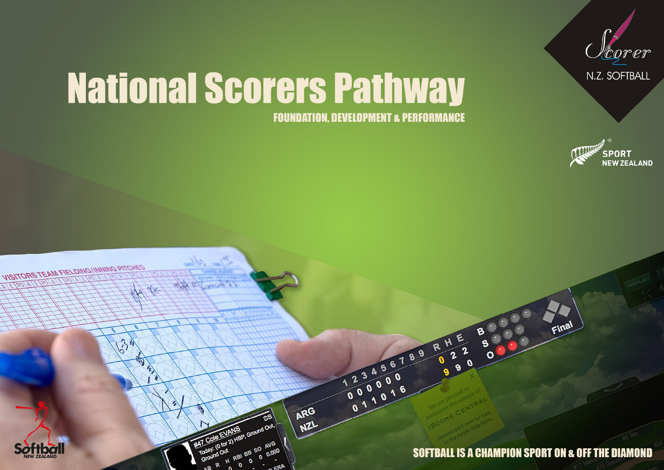

# **National Scorers Pathway**

**FOUNDATION, DEVELOPMENT & PERFORMANCE** 





8

 $\boldsymbol{H}$ 

 $\mathbf 2$ 

 $\bullet$  $\mathbf{Q}$ 

R

23456789

000000

ARG

NZL

Today: (0 for 2) HBP, Ground Out,

 $\mathbf{o}$ 

H RBI BB SO AVG

0.000

#47 Cole EL

Groun

R

Final



**VISITORS TEAM FIELDING/INNING PITCHED** 

D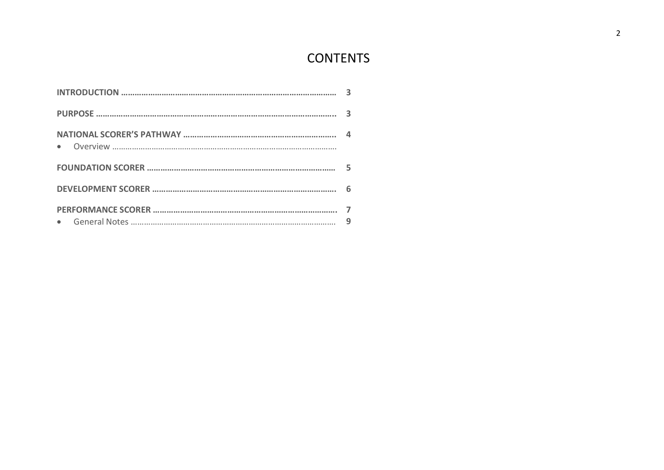# **CONTENTS**

| 6 |
|---|
| 9 |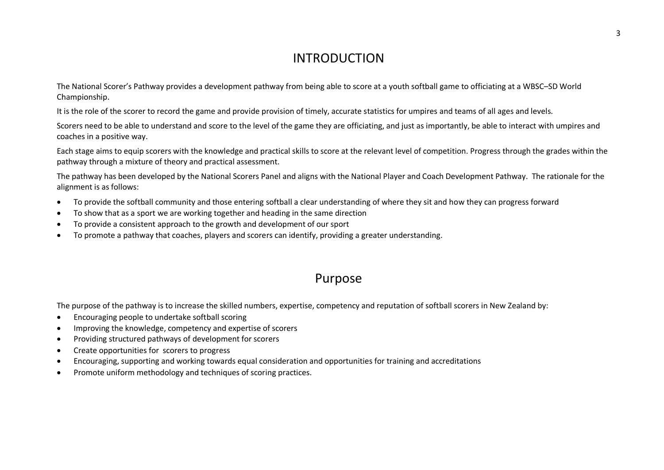## INTRODUCTION

The National Scorer's Pathway provides a development pathway from being able to score at a youth softball game to officiating at a WBSC–SD World Championship.

It is the role of the scorer to record the game and provide provision of timely, accurate statistics for umpires and teams of all ages and levels.

Scorers need to be able to understand and score to the level of the game they are officiating, and just as importantly, be able to interact with umpires and coaches in a positive way.

Each stage aims to equip scorers with the knowledge and practical skills to score at the relevant level of competition. Progress through the grades within the pathway through a mixture of theory and practical assessment.

The pathway has been developed by the National Scorers Panel and aligns with the National Player and Coach Development Pathway. The rationale for the alignment is as follows:

- To provide the softball community and those entering softball a clear understanding of where they sit and how they can progress forward
- · To show that as a sport we are working together and heading in the same direction
- · To provide a consistent approach to the growth and development of our sport
- · To promote a pathway that coaches, players and scorers can identify, providing a greater understanding.

## Purpose

The purpose of the pathway is to increase the skilled numbers, expertise, competency and reputation of softball scorers in New Zealand by:

- · Encouraging people to undertake softball scoring
- · Improving the knowledge, competency and expertise of scorers
- Providing structured pathways of development for scorers
- · Create opportunities for scorers to progress
- · Encouraging, supporting and working towards equal consideration and opportunities for training and accreditations
- · Promote uniform methodology and techniques of scoring practices.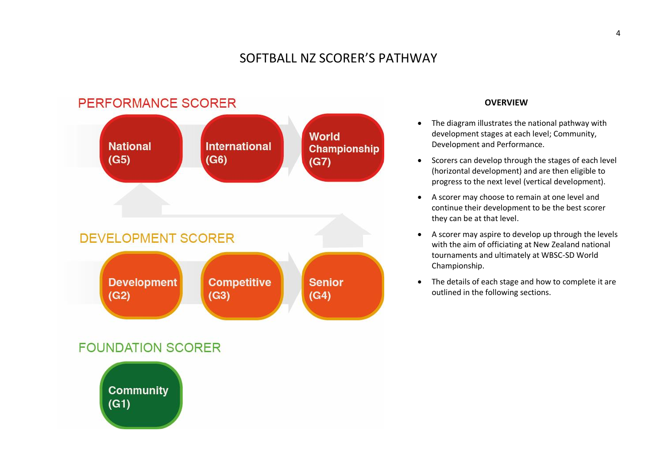## SOFTBALL NZ SCORER'S PATHWAY



#### **OVERVIEW**

- · The diagram illustrates the national pathway with development stages at each level; Community, Development and Performance.
- · Scorers can develop through the stages of each level (horizontal development) and are then eligible to progress to the next level (vertical development).
- · A scorer may choose to remain at one level and continue their development to be the best scorer they can be at that level.
- · A scorer may aspire to develop up through the levels with the aim of officiating at New Zealand national tournaments and ultimately at WBSC-SD World Championship.
- · The details of each stage and how to complete it are outlined in the following sections.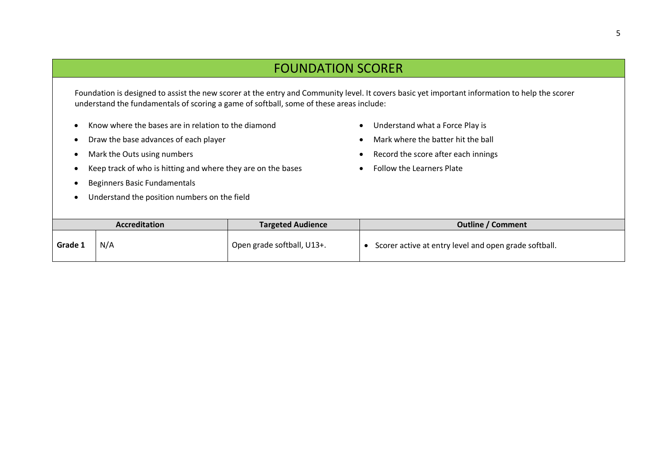## FOUNDATION SCORER

Foundation is designed to assist the new scorer at the entry and Community level. It covers basic yet important information to help the scorer understand the fundamentals of scoring a game of softball, some of these areas include:

- · Know where the bases are in relation to the diamond
- · Draw the base advances of each player
- · Mark the Outs using numbers
- · Keep track of who is hitting and where they are on the bases
- · Beginners Basic Fundamentals
- · Understand the position numbers on the field
- · Understand what a Force Play is
- · Mark where the batter hit the ball
- · Record the score after each innings
- · Follow the Learners Plate

| <b>Accreditation</b> |     | <b>Targeted Audience</b>   | <b>Outline / Comment</b>                              |
|----------------------|-----|----------------------------|-------------------------------------------------------|
| Grade 1              | N/A | Open grade softball, U13+. | Scorer active at entry level and open grade softball. |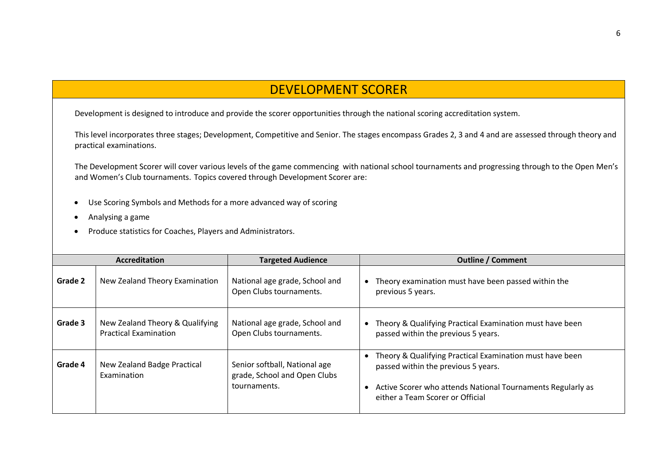## DEVELOPMENT SCORER

Development is designed to introduce and provide the scorer opportunities through the national scoring accreditation system.

This level incorporates three stages; Development, Competitive and Senior. The stages encompass Grades 2, 3 and 4 and are assessed through theory and practical examinations.

The Development Scorer will cover various levels of the game commencing with national school tournaments and progressing through to the Open Men's and Women's Club tournaments. Topics covered through Development Scorer are:

- · Use Scoring Symbols and Methods for a more advanced way of scoring
- · Analysing a game
- · Produce statistics for Coaches, Players and Administrators.

| <b>Accreditation</b> |                                                                 | <b>Targeted Audience</b>                                                      | <b>Outline / Comment</b>                                                                                                                                                                           |
|----------------------|-----------------------------------------------------------------|-------------------------------------------------------------------------------|----------------------------------------------------------------------------------------------------------------------------------------------------------------------------------------------------|
| Grade 2              | New Zealand Theory Examination                                  | National age grade, School and<br>Open Clubs tournaments.                     | Theory examination must have been passed within the<br>previous 5 years.                                                                                                                           |
| Grade 3              | New Zealand Theory & Qualifying<br><b>Practical Examination</b> | National age grade, School and<br>Open Clubs tournaments.                     | Theory & Qualifying Practical Examination must have been<br>passed within the previous 5 years.                                                                                                    |
| Grade 4              | New Zealand Badge Practical<br>Examination                      | Senior softball, National age<br>grade, School and Open Clubs<br>tournaments. | Theory & Qualifying Practical Examination must have been<br>passed within the previous 5 years.<br>Active Scorer who attends National Tournaments Regularly as<br>either a Team Scorer or Official |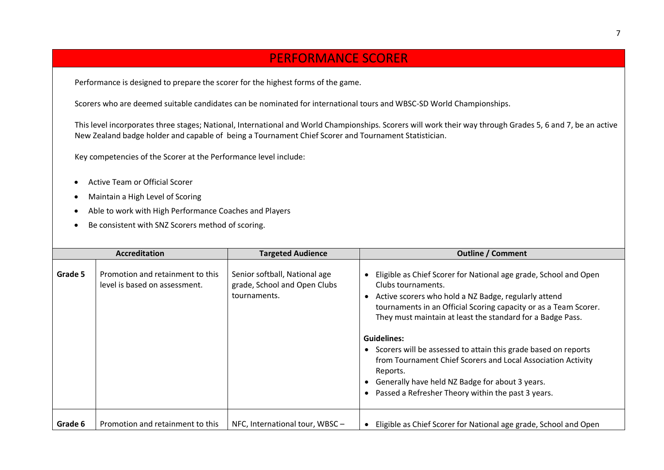## PERFORMANCE SCORER

Performance is designed to prepare the scorer for the highest forms of the game.

Scorers who are deemed suitable candidates can be nominated for international tours and WBSC-SD World Championships.

This level incorporates three stages; National, International and World Championships. Scorers will work their way through Grades 5, 6 and 7, be an active New Zealand badge holder and capable of being a Tournament Chief Scorer and Tournament Statistician.

Key competencies of the Scorer at the Performance level include:

- · Active Team or Official Scorer
- · Maintain a High Level of Scoring
- Able to work with High Performance Coaches and Players
- · Be consistent with SNZ Scorers method of scoring.

| <b>Accreditation</b> |                                                                   | <b>Targeted Audience</b>                                                      | <b>Outline / Comment</b>                                                                                                                                                                                                                                                                                                                                                                                                                                                                                                                                                   |
|----------------------|-------------------------------------------------------------------|-------------------------------------------------------------------------------|----------------------------------------------------------------------------------------------------------------------------------------------------------------------------------------------------------------------------------------------------------------------------------------------------------------------------------------------------------------------------------------------------------------------------------------------------------------------------------------------------------------------------------------------------------------------------|
| Grade 5              | Promotion and retainment to this<br>level is based on assessment. | Senior softball, National age<br>grade, School and Open Clubs<br>tournaments. | Eligible as Chief Scorer for National age grade, School and Open<br>Clubs tournaments.<br>Active scorers who hold a NZ Badge, regularly attend<br>tournaments in an Official Scoring capacity or as a Team Scorer.<br>They must maintain at least the standard for a Badge Pass.<br><b>Guidelines:</b><br>Scorers will be assessed to attain this grade based on reports<br>$\bullet$<br>from Tournament Chief Scorers and Local Association Activity<br>Reports.<br>Generally have held NZ Badge for about 3 years.<br>Passed a Refresher Theory within the past 3 years. |
| Grade 6              | Promotion and retainment to this                                  | NFC, International tour, WBSC -                                               | Eligible as Chief Scorer for National age grade, School and Open<br>$\bullet$                                                                                                                                                                                                                                                                                                                                                                                                                                                                                              |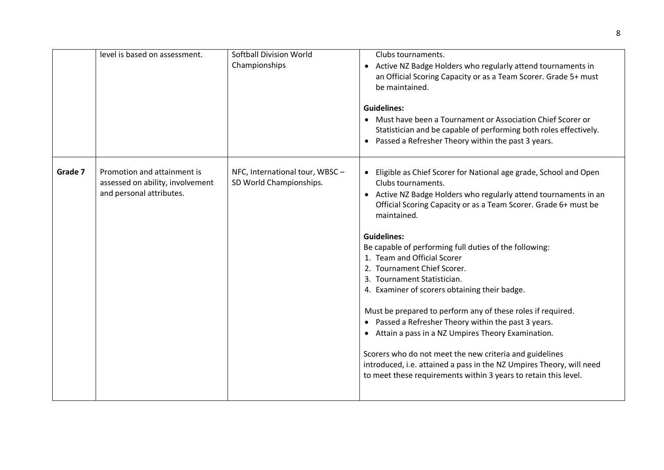|         | level is based on assessment.                                                               | <b>Softball Division World</b><br>Championships           | Clubs tournaments.<br>Active NZ Badge Holders who regularly attend tournaments in<br>an Official Scoring Capacity or as a Team Scorer. Grade 5+ must<br>be maintained.<br><b>Guidelines:</b><br>• Must have been a Tournament or Association Chief Scorer or<br>Statistician and be capable of performing both roles effectively.<br>Passed a Refresher Theory within the past 3 years.<br>$\bullet$                                                                                                                                                                                                                                                                                                                                                                                                                                                                      |
|---------|---------------------------------------------------------------------------------------------|-----------------------------------------------------------|---------------------------------------------------------------------------------------------------------------------------------------------------------------------------------------------------------------------------------------------------------------------------------------------------------------------------------------------------------------------------------------------------------------------------------------------------------------------------------------------------------------------------------------------------------------------------------------------------------------------------------------------------------------------------------------------------------------------------------------------------------------------------------------------------------------------------------------------------------------------------|
| Grade 7 | Promotion and attainment is<br>assessed on ability, involvement<br>and personal attributes. | NFC, International tour, WBSC-<br>SD World Championships. | Eligible as Chief Scorer for National age grade, School and Open<br>Clubs tournaments.<br>• Active NZ Badge Holders who regularly attend tournaments in an<br>Official Scoring Capacity or as a Team Scorer. Grade 6+ must be<br>maintained.<br><b>Guidelines:</b><br>Be capable of performing full duties of the following:<br>1. Team and Official Scorer<br>2. Tournament Chief Scorer.<br>3. Tournament Statistician.<br>4. Examiner of scorers obtaining their badge.<br>Must be prepared to perform any of these roles if required.<br>• Passed a Refresher Theory within the past 3 years.<br>Attain a pass in a NZ Umpires Theory Examination.<br>$\bullet$<br>Scorers who do not meet the new criteria and guidelines<br>introduced, i.e. attained a pass in the NZ Umpires Theory, will need<br>to meet these requirements within 3 years to retain this level. |